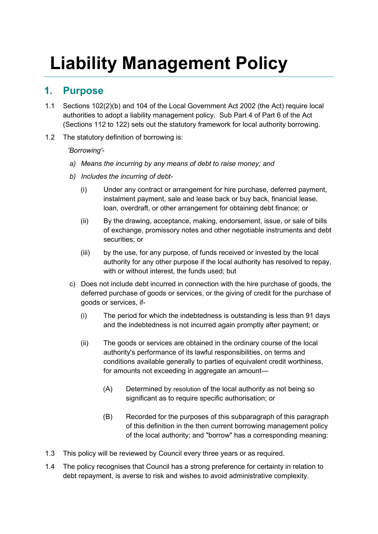# **Liability Management Policy**

# **1. Purpose**

- 1.1 Sections 102(2)(b) and 104 of the Local Government Act 2002 (the Act) require local authorities to adopt a liability management policy. Sub Part 4 of Part 6 of the Act (Sections 112 to 122) sets out the statutory framework for local authority borrowing.
- 1.2 The statutory definition of borrowing is:

*'Borrowing'-* 

- *a) Means the incurring by any means of debt to raise money; and*
- *b) Includes the incurring of debt-* 
	- (i) Under any contract or arrangement for hire purchase, deferred payment, instalment payment, sale and lease back or buy back, financial lease, loan, overdraft, or other arrangement for obtaining debt finance; or
	- (ii) By the drawing, acceptance, making, endorsement, issue, or sale of bills of exchange, promissory notes and other negotiable instruments and debt securities; or
	- (iii) by the use, for any purpose, of funds received or invested by the local authority for any other purpose if the local authority has resolved to repay, with or without interest, the funds used; but
- c) Does not include debt incurred in connection with the hire purchase of goods, the deferred purchase of goods or services, or the giving of credit for the purchase of goods or services, if-
	- (i) The period for which the indebtedness is outstanding is less than 91 days and the indebtedness is not incurred again promptly after payment; or
	- (ii) The goods or services are obtained in the ordinary course of the local authority's performance of its lawful responsibilities, on terms and conditions available generally to parties of equivalent credit worthiness, for amounts not exceeding in aggregate an amount—
		- (A) Determined by resolution of the local authority as not being so significant as to require specific authorisation; or
		- (B) Recorded for the purposes of this subparagraph of this paragraph of this definition in the then current borrowing management policy of the local authority; and "borrow" has a corresponding meaning:
- 1.3 This policy will be reviewed by Council every three years or as required.
- 1.4 The policy recognises that Council has a strong preference for certainty in relation to debt repayment, is averse to risk and wishes to avoid administrative complexity.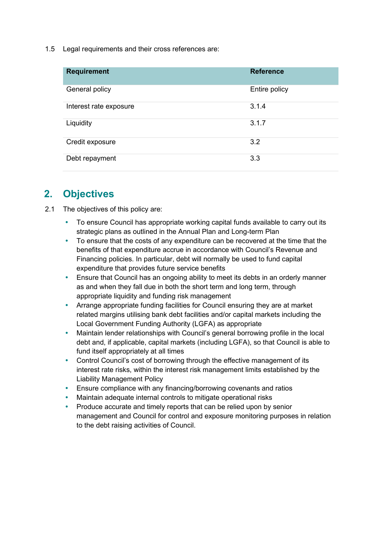1.5 Legal requirements and their cross references are:

| <b>Requirement</b>     | <b>Reference</b> |
|------------------------|------------------|
| General policy         | Entire policy    |
| Interest rate exposure | 3.1.4            |
| Liquidity              | 3.1.7            |
| Credit exposure        | 3.2              |
| Debt repayment         | 3.3              |

# **2. Objectives**

- 2.1 The objectives of this policy are:
	- To ensure Council has appropriate working capital funds available to carry out its strategic plans as outlined in the Annual Plan and Long-term Plan
	- To ensure that the costs of any expenditure can be recovered at the time that the benefits of that expenditure accrue in accordance with Council's Revenue and Financing policies. In particular, debt will normally be used to fund capital expenditure that provides future service benefits
	- Ensure that Council has an ongoing ability to meet its debts in an orderly manner as and when they fall due in both the short term and long term, through appropriate liquidity and funding risk management
	- Arrange appropriate funding facilities for Council ensuring they are at market related margins utilising bank debt facilities and/or capital markets including the Local Government Funding Authority (LGFA) as appropriate
	- Maintain lender relationships with Council's general borrowing profile in the local debt and, if applicable, capital markets (including LGFA), so that Council is able to fund itself appropriately at all times
	- Control Council's cost of borrowing through the effective management of its interest rate risks, within the interest risk management limits established by the Liability Management Policy
	- Ensure compliance with any financing/borrowing covenants and ratios
	- Maintain adequate internal controls to mitigate operational risks
	- Produce accurate and timely reports that can be relied upon by senior management and Council for control and exposure monitoring purposes in relation to the debt raising activities of Council.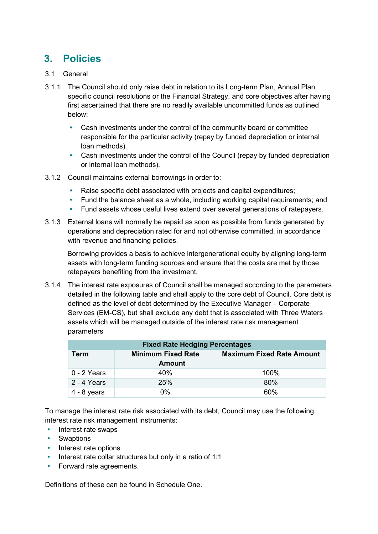# **3. Policies**

- 3.1 General
- 3.1.1 The Council should only raise debt in relation to its Long-term Plan, Annual Plan, specific council resolutions or the Financial Strategy, and core objectives after having first ascertained that there are no readily available uncommitted funds as outlined below:
	- Cash investments under the control of the community board or committee responsible for the particular activity (repay by funded depreciation or internal loan methods).
	- Cash investments under the control of the Council (repay by funded depreciation or internal loan methods).
- 3.1.2 Council maintains external borrowings in order to:
	- Raise specific debt associated with projects and capital expenditures;
	- Fund the balance sheet as a whole, including working capital requirements; and
	- Fund assets whose useful lives extend over several generations of ratepayers.
- 3.1.3 External loans will normally be repaid as soon as possible from funds generated by operations and depreciation rated for and not otherwise committed, in accordance with revenue and financing policies.

Borrowing provides a basis to achieve intergenerational equity by aligning long-term assets with long-term funding sources and ensure that the costs are met by those ratepayers benefiting from the investment.

3.1.4 The interest rate exposures of Council shall be managed according to the parameters detailed in the following table and shall apply to the core debt of Council. Core debt is defined as the level of debt determined by the Executive Manager – Corporate Services (EM-CS), but shall exclude any debt that is associated with Three Waters assets which will be managed outside of the interest rate risk management parameters

| <b>Fixed Rate Hedging Percentages</b> |                           |                                  |  |
|---------------------------------------|---------------------------|----------------------------------|--|
| Term                                  | <b>Minimum Fixed Rate</b> | <b>Maximum Fixed Rate Amount</b> |  |
|                                       | Amount                    |                                  |  |
| 0 - 2 Years                           | 40%                       | 100%                             |  |
| 2 - 4 Years                           | 25%                       | 80%                              |  |
| 4 - 8 years                           | 0%                        | 60%                              |  |

To manage the interest rate risk associated with its debt, Council may use the following interest rate risk management instruments:

- Interest rate swaps
- Swaptions
- Interest rate options
- $\cdot$  Interest rate collar structures but only in a ratio of 1:1
- Forward rate agreements.

Definitions of these can be found in Schedule One.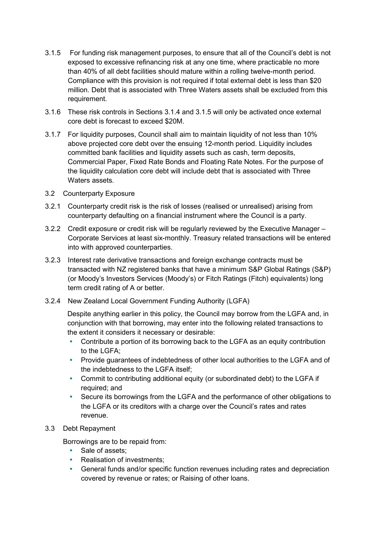- 3.1.5 For funding risk management purposes, to ensure that all of the Council's debt is not exposed to excessive refinancing risk at any one time, where practicable no more than 40% of all debt facilities should mature within a rolling twelve-month period. Compliance with this provision is not required if total external debt is less than \$20 million. Debt that is associated with Three Waters assets shall be excluded from this requirement.
- 3.1.6 These risk controls in Sections 3.1.4 and 3.1.5 will only be activated once external core debt is forecast to exceed \$20M.
- 3.1.7 For liquidity purposes, Council shall aim to maintain liquidity of not less than 10% above projected core debt over the ensuing 12-month period. Liquidity includes committed bank facilities and liquidity assets such as cash, term deposits, Commercial Paper, Fixed Rate Bonds and Floating Rate Notes. For the purpose of the liquidity calculation core debt will include debt that is associated with Three Waters assets.
- 3.2 Counterparty Exposure
- 3.2.1 Counterparty credit risk is the risk of losses (realised or unrealised) arising from counterparty defaulting on a financial instrument where the Council is a party.
- 3.2.2 Credit exposure or credit risk will be regularly reviewed by the Executive Manager Corporate Services at least six-monthly. Treasury related transactions will be entered into with approved counterparties.
- 3.2.3 Interest rate derivative transactions and foreign exchange contracts must be transacted with NZ registered banks that have a minimum S&P Global Ratings (S&P) (or Moody's Investors Services (Moody's) or Fitch Ratings (Fitch) equivalents) long term credit rating of A or better.
- 3.2.4 New Zealand Local Government Funding Authority (LGFA)

Despite anything earlier in this policy, the Council may borrow from the LGFA and, in conjunction with that borrowing, may enter into the following related transactions to the extent it considers it necessary or desirable:

- Contribute a portion of its borrowing back to the LGFA as an equity contribution to the LGFA;
- Provide guarantees of indebtedness of other local authorities to the LGFA and of the indebtedness to the LGFA itself;
- Commit to contributing additional equity (or subordinated debt) to the LGFA if required; and
- Secure its borrowings from the LGFA and the performance of other obligations to the LGFA or its creditors with a charge over the Council's rates and rates revenue.
- 3.3 Debt Repayment

Borrowings are to be repaid from:

- Sale of assets:
- Realisation of investments;
- General funds and/or specific function revenues including rates and depreciation covered by revenue or rates; or Raising of other loans.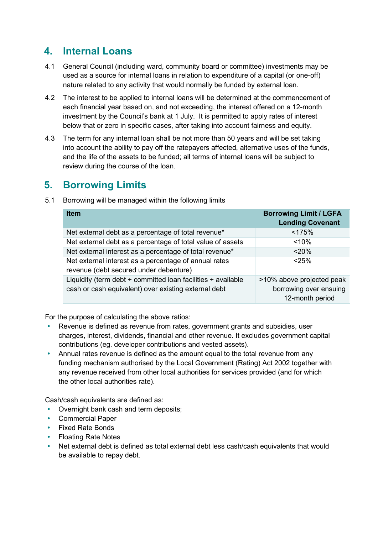### **4. Internal Loans**

- 4.1 General Council (including ward, community board or committee) investments may be used as a source for internal loans in relation to expenditure of a capital (or one-off) nature related to any activity that would normally be funded by external loan.
- 4.2 The interest to be applied to internal loans will be determined at the commencement of each financial year based on, and not exceeding, the interest offered on a 12-month investment by the Council's bank at 1 July. It is permitted to apply rates of interest below that or zero in specific cases, after taking into account fairness and equity.
- 4.3 The term for any internal loan shall be not more than 50 years and will be set taking into account the ability to pay off the ratepayers affected, alternative uses of the funds, and the life of the assets to be funded; all terms of internal loans will be subject to review during the course of the loan.

### **5. Borrowing Limits**

| <b>Item</b>                                                                                                          | <b>Borrowing Limit / LGFA</b><br><b>Lending Covenant</b>               |
|----------------------------------------------------------------------------------------------------------------------|------------------------------------------------------------------------|
| Net external debt as a percentage of total revenue*                                                                  | < 175%                                                                 |
| Net external debt as a percentage of total value of assets                                                           | $< 10\%$                                                               |
| Net external interest as a percentage of total revenue*                                                              | $< 20\%$                                                               |
| Net external interest as a percentage of annual rates<br>revenue (debt secured under debenture)                      | < 25%                                                                  |
| Liquidity (term debt + committed loan facilities + available<br>cash or cash equivalent) over existing external debt | >10% above projected peak<br>borrowing over ensuing<br>12-month period |

5.1 Borrowing will be managed within the following limits

For the purpose of calculating the above ratios:

- Revenue is defined as revenue from rates, government grants and subsidies, user charges, interest, dividends, financial and other revenue. It excludes government capital contributions (eg. developer contributions and vested assets).
- Annual rates revenue is defined as the amount equal to the total revenue from any funding mechanism authorised by the Local Government (Rating) Act 2002 together with any revenue received from other local authorities for services provided (and for which the other local authorities rate).

Cash/cash equivalents are defined as:

- Overnight bank cash and term deposits;
- Commercial Paper
- Fixed Rate Bonds
- Floating Rate Notes
- Net external debt is defined as total external debt less cash/cash equivalents that would be available to repay debt.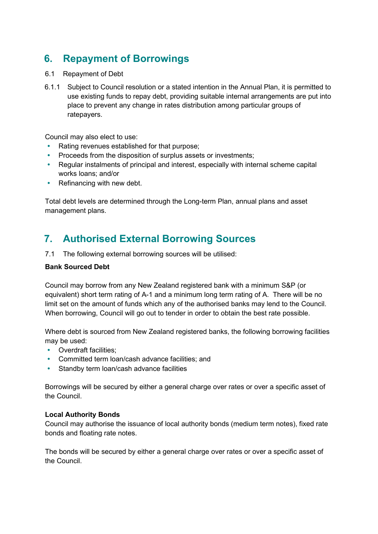# **6. Repayment of Borrowings**

- 6.1 Repayment of Debt
- 6.1.1 Subject to Council resolution or a stated intention in the Annual Plan, it is permitted to use existing funds to repay debt, providing suitable internal arrangements are put into place to prevent any change in rates distribution among particular groups of ratepayers.

Council may also elect to use:

- Rating revenues established for that purpose;
- Proceeds from the disposition of surplus assets or investments;
- Regular instalments of principal and interest, especially with internal scheme capital works loans; and/or
- Refinancing with new debt.

Total debt levels are determined through the Long-term Plan, annual plans and asset management plans.

# **7. Authorised External Borrowing Sources**

7.1 The following external borrowing sources will be utilised:

#### **Bank Sourced Debt**

Council may borrow from any New Zealand registered bank with a minimum S&P (or equivalent) short term rating of A-1 and a minimum long term rating of A. There will be no limit set on the amount of funds which any of the authorised banks may lend to the Council. When borrowing, Council will go out to tender in order to obtain the best rate possible.

Where debt is sourced from New Zealand registered banks, the following borrowing facilities may be used:

- Overdraft facilities;
- Committed term loan/cash advance facilities; and
- Standby term loan/cash advance facilities

Borrowings will be secured by either a general charge over rates or over a specific asset of the Council.

#### **Local Authority Bonds**

Council may authorise the issuance of local authority bonds (medium term notes), fixed rate bonds and floating rate notes.

The bonds will be secured by either a general charge over rates or over a specific asset of the Council.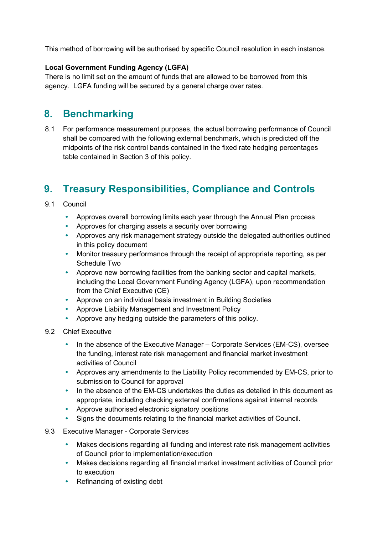This method of borrowing will be authorised by specific Council resolution in each instance.

#### **Local Government Funding Agency (LGFA)**

There is no limit set on the amount of funds that are allowed to be borrowed from this agency. LGFA funding will be secured by a general charge over rates.

### **8. Benchmarking**

8.1 For performance measurement purposes, the actual borrowing performance of Council shall be compared with the following external benchmark, which is predicted off the midpoints of the risk control bands contained in the fixed rate hedging percentages table contained in Section 3 of this policy.

# **9. Treasury Responsibilities, Compliance and Controls**

- 9.1 Council
	- Approves overall borrowing limits each year through the Annual Plan process
	- Approves for charging assets a security over borrowing
	- Approves any risk management strategy outside the delegated authorities outlined in this policy document
	- Monitor treasury performance through the receipt of appropriate reporting, as per Schedule Two
	- Approve new borrowing facilities from the banking sector and capital markets, including the Local Government Funding Agency (LGFA), upon recommendation from the Chief Executive (CE)
	- Approve on an individual basis investment in Building Societies
	- Approve Liability Management and Investment Policy
	- Approve any hedging outside the parameters of this policy.
- 9.2 Chief Executive
	- In the absence of the Executive Manager Corporate Services (EM-CS), oversee the funding, interest rate risk management and financial market investment activities of Council
	- Approves any amendments to the Liability Policy recommended by EM-CS, prior to submission to Council for approval
	- In the absence of the EM-CS undertakes the duties as detailed in this document as appropriate, including checking external confirmations against internal records
	- Approve authorised electronic signatory positions
	- Signs the documents relating to the financial market activities of Council.
- 9.3 Executive Manager Corporate Services
	- Makes decisions regarding all funding and interest rate risk management activities of Council prior to implementation/execution
	- Makes decisions regarding all financial market investment activities of Council prior to execution
	- Refinancing of existing debt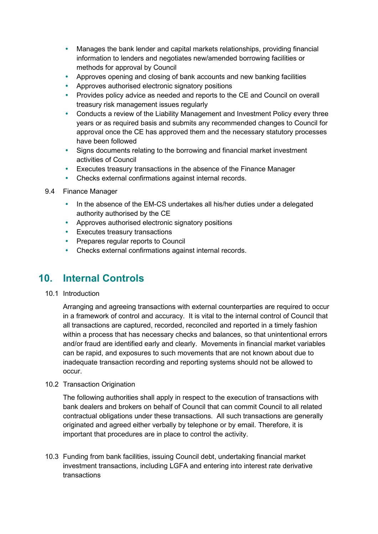- Manages the bank lender and capital markets relationships, providing financial information to lenders and negotiates new/amended borrowing facilities or methods for approval by Council
- Approves opening and closing of bank accounts and new banking facilities
- Approves authorised electronic signatory positions
- Provides policy advice as needed and reports to the CE and Council on overall treasury risk management issues regularly
- Conducts a review of the Liability Management and Investment Policy every three years or as required basis and submits any recommended changes to Council for approval once the CE has approved them and the necessary statutory processes have been followed
- Signs documents relating to the borrowing and financial market investment activities of Council
- Executes treasury transactions in the absence of the Finance Manager
- Checks external confirmations against internal records.
- 9.4 Finance Manager
	- In the absence of the EM-CS undertakes all his/her duties under a delegated authority authorised by the CE
	- Approves authorised electronic signatory positions
	- Executes treasury transactions
	- Prepares regular reports to Council
	- Checks external confirmations against internal records.

# **10. Internal Controls**

10.1 Introduction

Arranging and agreeing transactions with external counterparties are required to occur in a framework of control and accuracy. It is vital to the internal control of Council that all transactions are captured, recorded, reconciled and reported in a timely fashion within a process that has necessary checks and balances, so that unintentional errors and/or fraud are identified early and clearly. Movements in financial market variables can be rapid, and exposures to such movements that are not known about due to inadequate transaction recording and reporting systems should not be allowed to occur.

10.2 Transaction Origination

The following authorities shall apply in respect to the execution of transactions with bank dealers and brokers on behalf of Council that can commit Council to all related contractual obligations under these transactions. All such transactions are generally originated and agreed either verbally by telephone or by email. Therefore, it is important that procedures are in place to control the activity.

10.3 Funding from bank facilities, issuing Council debt, undertaking financial market investment transactions, including LGFA and entering into interest rate derivative transactions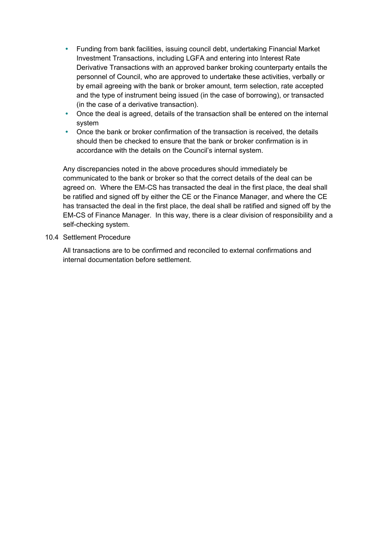- Funding from bank facilities, issuing council debt, undertaking Financial Market Investment Transactions, including LGFA and entering into Interest Rate Derivative Transactions with an approved banker broking counterparty entails the personnel of Council, who are approved to undertake these activities, verbally or by email agreeing with the bank or broker amount, term selection, rate accepted and the type of instrument being issued (in the case of borrowing), or transacted (in the case of a derivative transaction).
- Once the deal is agreed, details of the transaction shall be entered on the internal system
- Once the bank or broker confirmation of the transaction is received, the details should then be checked to ensure that the bank or broker confirmation is in accordance with the details on the Council's internal system.

Any discrepancies noted in the above procedures should immediately be communicated to the bank or broker so that the correct details of the deal can be agreed on. Where the EM-CS has transacted the deal in the first place, the deal shall be ratified and signed off by either the CE or the Finance Manager, and where the CE has transacted the deal in the first place, the deal shall be ratified and signed off by the EM-CS of Finance Manager. In this way, there is a clear division of responsibility and a self-checking system.

#### 10.4 Settlement Procedure

All transactions are to be confirmed and reconciled to external confirmations and internal documentation before settlement.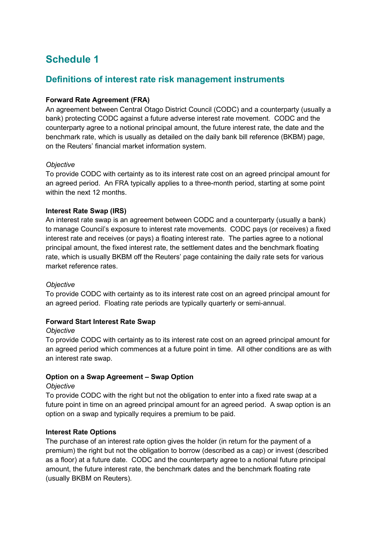# **Schedule 1**

#### **Definitions of interest rate risk management instruments**

#### **Forward Rate Agreement (FRA)**

An agreement between Central Otago District Council (CODC) and a counterparty (usually a bank) protecting CODC against a future adverse interest rate movement. CODC and the counterparty agree to a notional principal amount, the future interest rate, the date and the benchmark rate, which is usually as detailed on the daily bank bill reference (BKBM) page, on the Reuters' financial market information system.

#### *Objective*

To provide CODC with certainty as to its interest rate cost on an agreed principal amount for an agreed period. An FRA typically applies to a three-month period, starting at some point within the next 12 months.

#### **Interest Rate Swap (IRS)**

An interest rate swap is an agreement between CODC and a counterparty (usually a bank) to manage Council's exposure to interest rate movements. CODC pays (or receives) a fixed interest rate and receives (or pays) a floating interest rate. The parties agree to a notional principal amount, the fixed interest rate, the settlement dates and the benchmark floating rate, which is usually BKBM off the Reuters' page containing the daily rate sets for various market reference rates.

#### *Objective*

To provide CODC with certainty as to its interest rate cost on an agreed principal amount for an agreed period. Floating rate periods are typically quarterly or semi-annual.

#### **Forward Start Interest Rate Swap**

#### *Objective*

To provide CODC with certainty as to its interest rate cost on an agreed principal amount for an agreed period which commences at a future point in time. All other conditions are as with an interest rate swap.

#### **Option on a Swap Agreement – Swap Option**

#### *Objective*

To provide CODC with the right but not the obligation to enter into a fixed rate swap at a future point in time on an agreed principal amount for an agreed period. A swap option is an option on a swap and typically requires a premium to be paid.

#### **Interest Rate Options**

The purchase of an interest rate option gives the holder (in return for the payment of a premium) the right but not the obligation to borrow (described as a cap) or invest (described as a floor) at a future date. CODC and the counterparty agree to a notional future principal amount, the future interest rate, the benchmark dates and the benchmark floating rate (usually BKBM on Reuters).